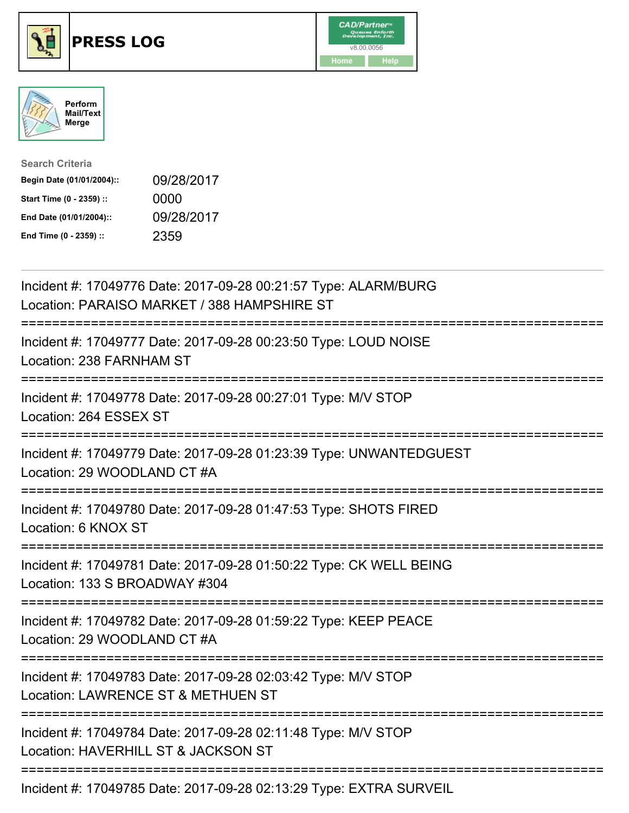





| <b>Search Criteria</b>    |            |
|---------------------------|------------|
| Begin Date (01/01/2004):: | 09/28/2017 |
| Start Time (0 - 2359) ::  | 0000       |
| End Date (01/01/2004)::   | 09/28/2017 |
| End Time (0 - 2359) ::    | 2359       |

| Incident #: 17049776 Date: 2017-09-28 00:21:57 Type: ALARM/BURG<br>Location: PARAISO MARKET / 388 HAMPSHIRE ST                        |
|---------------------------------------------------------------------------------------------------------------------------------------|
| Incident #: 17049777 Date: 2017-09-28 00:23:50 Type: LOUD NOISE<br>Location: 238 FARNHAM ST                                           |
| Incident #: 17049778 Date: 2017-09-28 00:27:01 Type: M/V STOP<br>Location: 264 ESSEX ST                                               |
| Incident #: 17049779 Date: 2017-09-28 01:23:39 Type: UNWANTEDGUEST<br>Location: 29 WOODLAND CT #A                                     |
| Incident #: 17049780 Date: 2017-09-28 01:47:53 Type: SHOTS FIRED<br>Location: 6 KNOX ST                                               |
| Incident #: 17049781 Date: 2017-09-28 01:50:22 Type: CK WELL BEING<br>Location: 133 S BROADWAY #304                                   |
| Incident #: 17049782 Date: 2017-09-28 01:59:22 Type: KEEP PEACE<br>Location: 29 WOODLAND CT #A                                        |
| Incident #: 17049783 Date: 2017-09-28 02:03:42 Type: M/V STOP<br>Location: LAWRENCE ST & METHUEN ST                                   |
| .----------------------------<br>Incident #: 17049784 Date: 2017-09-28 02:11:48 Type: M/V STOP<br>Location: HAVERHILL ST & JACKSON ST |
| Incident #: 17049785 Date: 2017-09-28 02:13:29 Type: EXTRA SURVEIL                                                                    |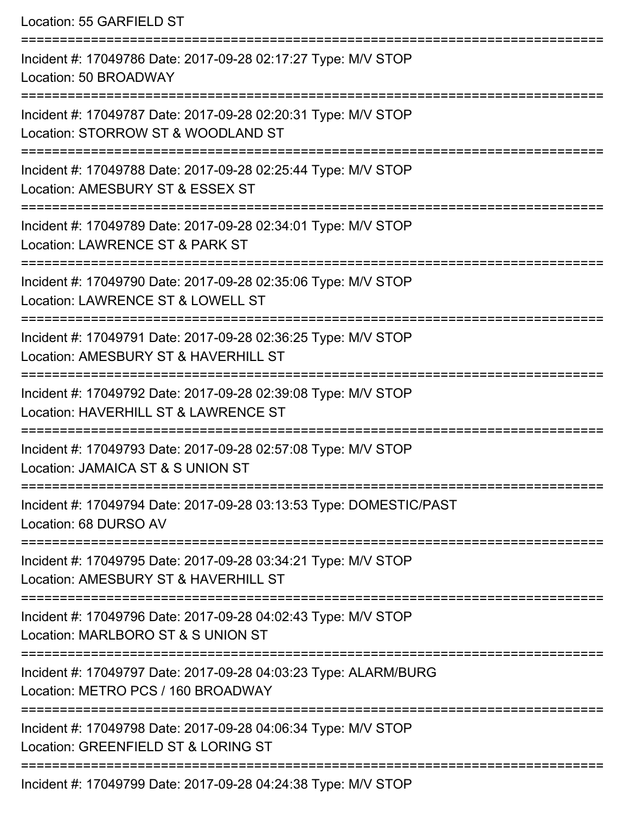Location: 55 GARFIELD ST =========================================================================== Incident #: 17049786 Date: 2017-09-28 02:17:27 Type: M/V STOP Location: 50 BROADWAY =========================================================================== Incident #: 17049787 Date: 2017-09-28 02:20:31 Type: M/V STOP Location: STORROW ST & WOODLAND ST =========================================================================== Incident #: 17049788 Date: 2017-09-28 02:25:44 Type: M/V STOP Location: AMESBURY ST & ESSEX ST =========================================================================== Incident #: 17049789 Date: 2017-09-28 02:34:01 Type: M/V STOP Location: LAWRENCE ST & PARK ST ==================================== Incident #: 17049790 Date: 2017-09-28 02:35:06 Type: M/V STOP Location: LAWRENCE ST & LOWELL ST =========================================================================== Incident #: 17049791 Date: 2017-09-28 02:36:25 Type: M/V STOP Location: AMESBURY ST & HAVERHILL ST =========================================================================== Incident #: 17049792 Date: 2017-09-28 02:39:08 Type: M/V STOP Location: HAVERHILL ST & LAWRENCE ST =========================================================================== Incident #: 17049793 Date: 2017-09-28 02:57:08 Type: M/V STOP Location: JAMAICA ST & S UNION ST =========================================================================== Incident #: 17049794 Date: 2017-09-28 03:13:53 Type: DOMESTIC/PAST Location: 68 DURSO AV =========================================================================== Incident #: 17049795 Date: 2017-09-28 03:34:21 Type: M/V STOP Location: AMESBURY ST & HAVERHILL ST =========================================================================== Incident #: 17049796 Date: 2017-09-28 04:02:43 Type: M/V STOP Location: MARLBORO ST & S UNION ST =========================================================================== Incident #: 17049797 Date: 2017-09-28 04:03:23 Type: ALARM/BURG Location: METRO PCS / 160 BROADWAY =========================================================================== Incident #: 17049798 Date: 2017-09-28 04:06:34 Type: M/V STOP Location: GREENFIELD ST & LORING ST ===========================================================================

Incident #: 17049799 Date: 2017-09-28 04:24:38 Type: M/V STOP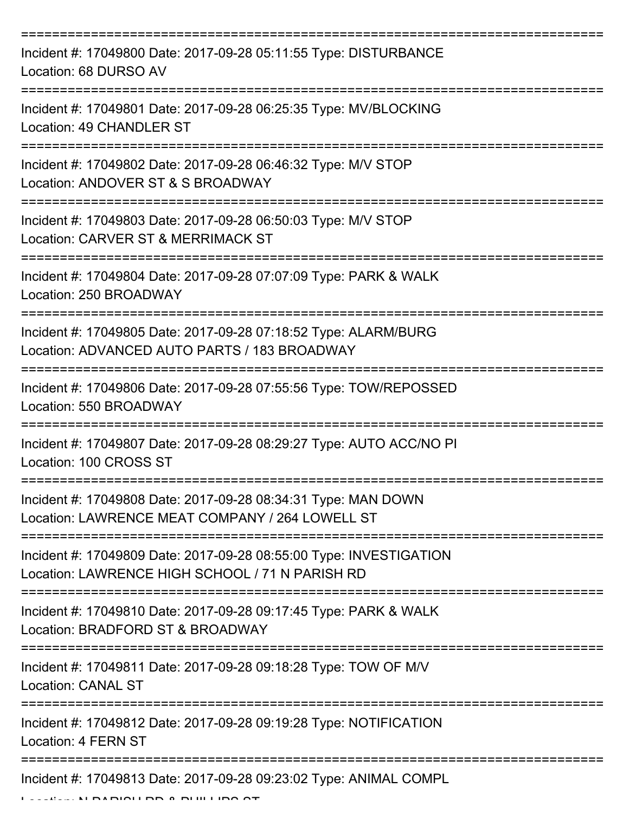| Incident #: 17049800 Date: 2017-09-28 05:11:55 Type: DISTURBANCE<br>Location: 68 DURSO AV                             |
|-----------------------------------------------------------------------------------------------------------------------|
| Incident #: 17049801 Date: 2017-09-28 06:25:35 Type: MV/BLOCKING<br><b>Location: 49 CHANDLER ST</b>                   |
| Incident #: 17049802 Date: 2017-09-28 06:46:32 Type: M/V STOP<br>Location: ANDOVER ST & S BROADWAY                    |
| Incident #: 17049803 Date: 2017-09-28 06:50:03 Type: M/V STOP<br>Location: CARVER ST & MERRIMACK ST                   |
| Incident #: 17049804 Date: 2017-09-28 07:07:09 Type: PARK & WALK<br>Location: 250 BROADWAY                            |
| Incident #: 17049805 Date: 2017-09-28 07:18:52 Type: ALARM/BURG<br>Location: ADVANCED AUTO PARTS / 183 BROADWAY       |
| Incident #: 17049806 Date: 2017-09-28 07:55:56 Type: TOW/REPOSSED<br>Location: 550 BROADWAY                           |
| Incident #: 17049807 Date: 2017-09-28 08:29:27 Type: AUTO ACC/NO PI<br>Location: 100 CROSS ST                         |
| Incident #: 17049808 Date: 2017-09-28 08:34:31 Type: MAN DOWN<br>Location: LAWRENCE MEAT COMPANY / 264 LOWELL ST      |
| Incident #: 17049809 Date: 2017-09-28 08:55:00 Type: INVESTIGATION<br>Location: LAWRENCE HIGH SCHOOL / 71 N PARISH RD |
| Incident #: 17049810 Date: 2017-09-28 09:17:45 Type: PARK & WALK<br>Location: BRADFORD ST & BROADWAY                  |
| Incident #: 17049811 Date: 2017-09-28 09:18:28 Type: TOW OF M/V<br><b>Location: CANAL ST</b>                          |
| Incident #: 17049812 Date: 2017-09-28 09:19:28 Type: NOTIFICATION<br>Location: 4 FERN ST                              |
| Incident #: 17049813 Date: 2017-09-28 09:23:02 Type: ANIMAL COMPL                                                     |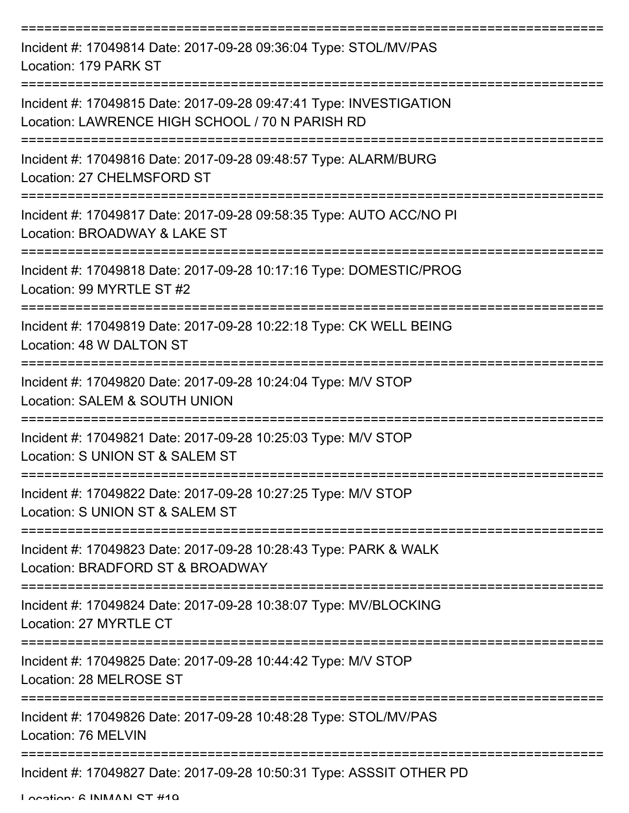| Incident #: 17049814 Date: 2017-09-28 09:36:04 Type: STOL/MV/PAS<br>Location: 179 PARK ST                             |
|-----------------------------------------------------------------------------------------------------------------------|
| Incident #: 17049815 Date: 2017-09-28 09:47:41 Type: INVESTIGATION<br>Location: LAWRENCE HIGH SCHOOL / 70 N PARISH RD |
| Incident #: 17049816 Date: 2017-09-28 09:48:57 Type: ALARM/BURG<br>Location: 27 CHELMSFORD ST                         |
| Incident #: 17049817 Date: 2017-09-28 09:58:35 Type: AUTO ACC/NO PI<br>Location: BROADWAY & LAKE ST                   |
| Incident #: 17049818 Date: 2017-09-28 10:17:16 Type: DOMESTIC/PROG<br>Location: 99 MYRTLE ST #2                       |
| Incident #: 17049819 Date: 2017-09-28 10:22:18 Type: CK WELL BEING<br>Location: 48 W DALTON ST                        |
| Incident #: 17049820 Date: 2017-09-28 10:24:04 Type: M/V STOP<br>Location: SALEM & SOUTH UNION                        |
| Incident #: 17049821 Date: 2017-09-28 10:25:03 Type: M/V STOP<br>Location: S UNION ST & SALEM ST                      |
| Incident #: 17049822 Date: 2017-09-28 10:27:25 Type: M/V STOP<br>Location: S UNION ST & SALEM ST                      |
| Incident #: 17049823 Date: 2017-09-28 10:28:43 Type: PARK & WALK<br>Location: BRADFORD ST & BROADWAY                  |
| Incident #: 17049824 Date: 2017-09-28 10:38:07 Type: MV/BLOCKING<br>Location: 27 MYRTLE CT                            |
| Incident #: 17049825 Date: 2017-09-28 10:44:42 Type: M/V STOP<br>Location: 28 MELROSE ST                              |
| Incident #: 17049826 Date: 2017-09-28 10:48:28 Type: STOL/MV/PAS<br>Location: 76 MELVIN                               |
| Incident #: 17049827 Date: 2017-09-28 10:50:31 Type: ASSSIT OTHER PD                                                  |

Location: 6 INMAAN CT #10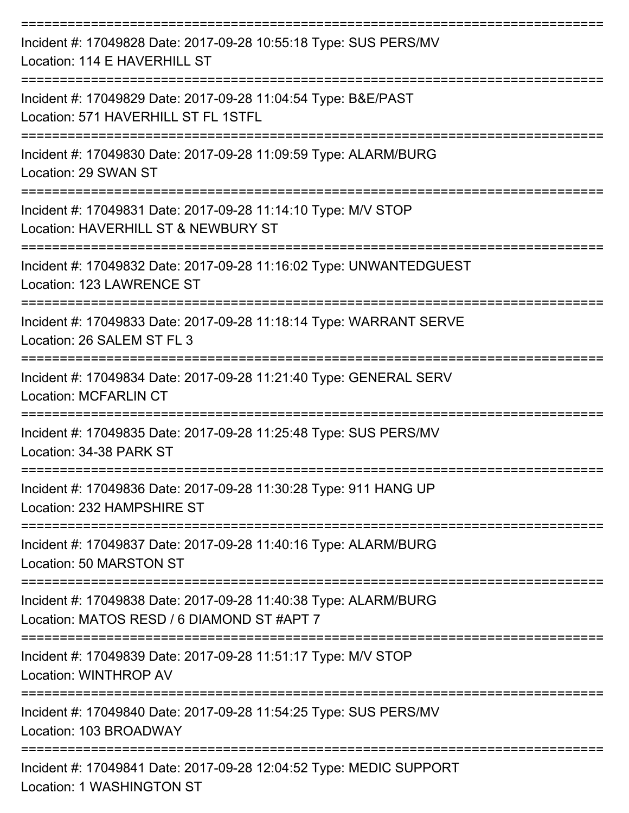| Incident #: 17049828 Date: 2017-09-28 10:55:18 Type: SUS PERS/MV<br>Location: 114 E HAVERHILL ST                                                     |
|------------------------------------------------------------------------------------------------------------------------------------------------------|
| Incident #: 17049829 Date: 2017-09-28 11:04:54 Type: B&E/PAST<br>Location: 571 HAVERHILL ST FL 1STFL                                                 |
| Incident #: 17049830 Date: 2017-09-28 11:09:59 Type: ALARM/BURG<br>Location: 29 SWAN ST                                                              |
| Incident #: 17049831 Date: 2017-09-28 11:14:10 Type: M/V STOP<br>Location: HAVERHILL ST & NEWBURY ST                                                 |
| Incident #: 17049832 Date: 2017-09-28 11:16:02 Type: UNWANTEDGUEST<br>Location: 123 LAWRENCE ST                                                      |
| Incident #: 17049833 Date: 2017-09-28 11:18:14 Type: WARRANT SERVE<br>Location: 26 SALEM ST FL 3                                                     |
| Incident #: 17049834 Date: 2017-09-28 11:21:40 Type: GENERAL SERV<br><b>Location: MCFARLIN CT</b>                                                    |
| ======================<br>---------------------------<br>Incident #: 17049835 Date: 2017-09-28 11:25:48 Type: SUS PERS/MV<br>Location: 34-38 PARK ST |
| Incident #: 17049836 Date: 2017-09-28 11:30:28 Type: 911 HANG UP<br>Location: 232 HAMPSHIRE ST                                                       |
| Incident #: 17049837 Date: 2017-09-28 11:40:16 Type: ALARM/BURG<br>Location: 50 MARSTON ST                                                           |
| ------------------------<br>Incident #: 17049838 Date: 2017-09-28 11:40:38 Type: ALARM/BURG<br>Location: MATOS RESD / 6 DIAMOND ST #APT 7            |
| Incident #: 17049839 Date: 2017-09-28 11:51:17 Type: M/V STOP<br>Location: WINTHROP AV                                                               |
| Incident #: 17049840 Date: 2017-09-28 11:54:25 Type: SUS PERS/MV<br>Location: 103 BROADWAY                                                           |
| Incident #: 17049841 Date: 2017-09-28 12:04:52 Type: MEDIC SUPPORT<br>Location: 1 WASHINGTON ST                                                      |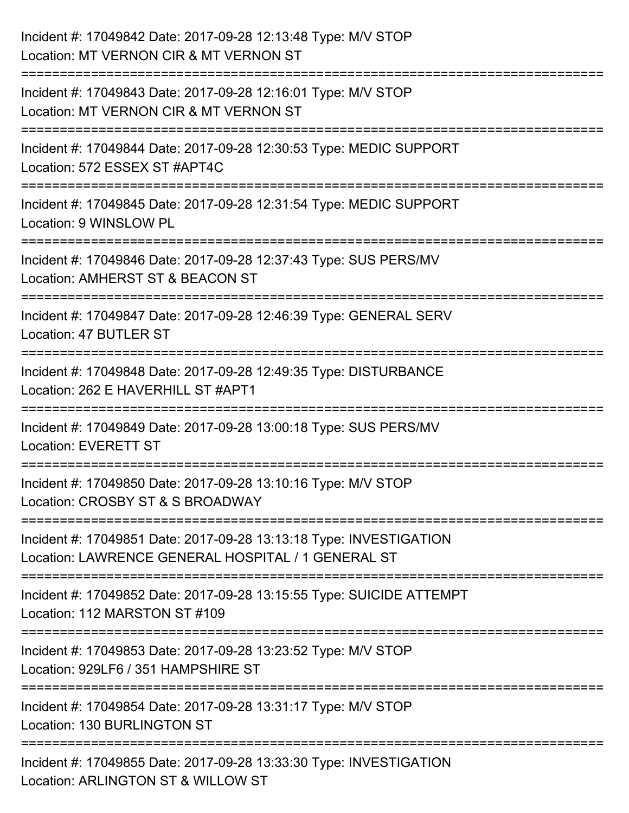| Incident #: 17049842 Date: 2017-09-28 12:13:48 Type: M/V STOP<br>Location: MT VERNON CIR & MT VERNON ST                              |
|--------------------------------------------------------------------------------------------------------------------------------------|
| =========================<br>Incident #: 17049843 Date: 2017-09-28 12:16:01 Type: M/V STOP<br>Location: MT VERNON CIR & MT VERNON ST |
| Incident #: 17049844 Date: 2017-09-28 12:30:53 Type: MEDIC SUPPORT<br>Location: 572 ESSEX ST #APT4C                                  |
| Incident #: 17049845 Date: 2017-09-28 12:31:54 Type: MEDIC SUPPORT<br>Location: 9 WINSLOW PL                                         |
| Incident #: 17049846 Date: 2017-09-28 12:37:43 Type: SUS PERS/MV<br>Location: AMHERST ST & BEACON ST<br>---------------              |
| Incident #: 17049847 Date: 2017-09-28 12:46:39 Type: GENERAL SERV<br>Location: 47 BUTLER ST                                          |
| Incident #: 17049848 Date: 2017-09-28 12:49:35 Type: DISTURBANCE<br>Location: 262 E HAVERHILL ST #APT1                               |
| Incident #: 17049849 Date: 2017-09-28 13:00:18 Type: SUS PERS/MV<br><b>Location: EVERETT ST</b>                                      |
| Incident #: 17049850 Date: 2017-09-28 13:10:16 Type: M/V STOP<br>Location: CROSBY ST & S BROADWAY                                    |
| Incident #: 17049851 Date: 2017-09-28 13:13:18 Type: INVESTIGATION<br>Location: LAWRENCE GENERAL HOSPITAL / 1 GENERAL ST             |
| Incident #: 17049852 Date: 2017-09-28 13:15:55 Type: SUICIDE ATTEMPT<br>Location: 112 MARSTON ST #109                                |
| Incident #: 17049853 Date: 2017-09-28 13:23:52 Type: M/V STOP<br>Location: 929LF6 / 351 HAMPSHIRE ST                                 |
| Incident #: 17049854 Date: 2017-09-28 13:31:17 Type: M/V STOP<br>Location: 130 BURLINGTON ST                                         |
| Incident #: 17049855 Date: 2017-09-28 13:33:30 Type: INVESTIGATION<br>Location: ARLINGTON ST & WILLOW ST                             |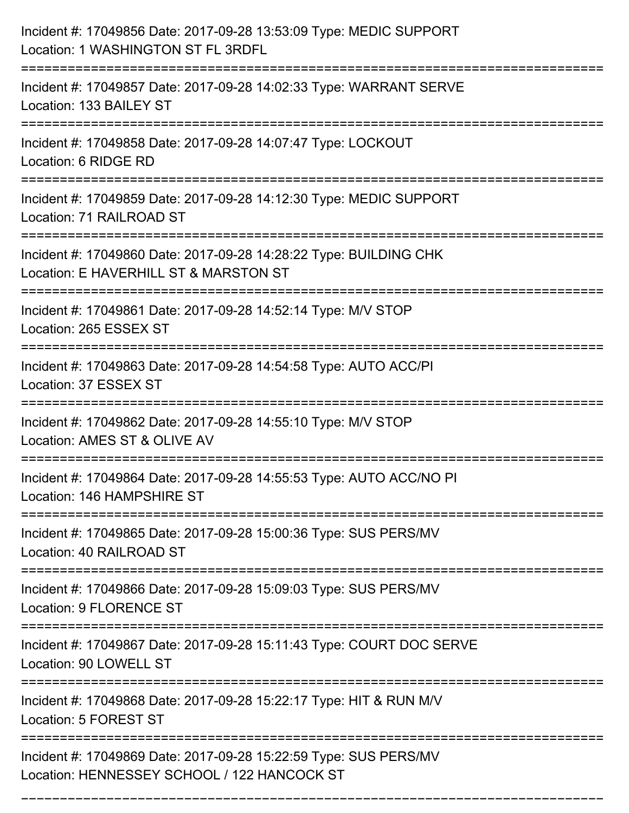| Incident #: 17049856 Date: 2017-09-28 13:53:09 Type: MEDIC SUPPORT<br>Location: 1 WASHINGTON ST FL 3RDFL                               |
|----------------------------------------------------------------------------------------------------------------------------------------|
| Incident #: 17049857 Date: 2017-09-28 14:02:33 Type: WARRANT SERVE<br>Location: 133 BAILEY ST                                          |
| Incident #: 17049858 Date: 2017-09-28 14:07:47 Type: LOCKOUT<br>Location: 6 RIDGE RD                                                   |
| Incident #: 17049859 Date: 2017-09-28 14:12:30 Type: MEDIC SUPPORT<br>Location: 71 RAILROAD ST                                         |
| Incident #: 17049860 Date: 2017-09-28 14:28:22 Type: BUILDING CHK<br>Location: E HAVERHILL ST & MARSTON ST<br>------------------------ |
| Incident #: 17049861 Date: 2017-09-28 14:52:14 Type: M/V STOP<br>Location: 265 ESSEX ST                                                |
| Incident #: 17049863 Date: 2017-09-28 14:54:58 Type: AUTO ACC/PI<br>Location: 37 ESSEX ST                                              |
| Incident #: 17049862 Date: 2017-09-28 14:55:10 Type: M/V STOP<br>Location: AMES ST & OLIVE AV                                          |
| Incident #: 17049864 Date: 2017-09-28 14:55:53 Type: AUTO ACC/NO PI<br>Location: 146 HAMPSHIRE ST                                      |
| Incident #: 17049865 Date: 2017-09-28 15:00:36 Type: SUS PERS/MV<br>Location: 40 RAILROAD ST                                           |
| Incident #: 17049866 Date: 2017-09-28 15:09:03 Type: SUS PERS/MV<br>Location: 9 FLORENCE ST                                            |
| Incident #: 17049867 Date: 2017-09-28 15:11:43 Type: COURT DOC SERVE<br>Location: 90 LOWELL ST                                         |
| Incident #: 17049868 Date: 2017-09-28 15:22:17 Type: HIT & RUN M/V<br>Location: 5 FOREST ST                                            |
| Incident #: 17049869 Date: 2017-09-28 15:22:59 Type: SUS PERS/MV<br>Location: HENNESSEY SCHOOL / 122 HANCOCK ST                        |

===========================================================================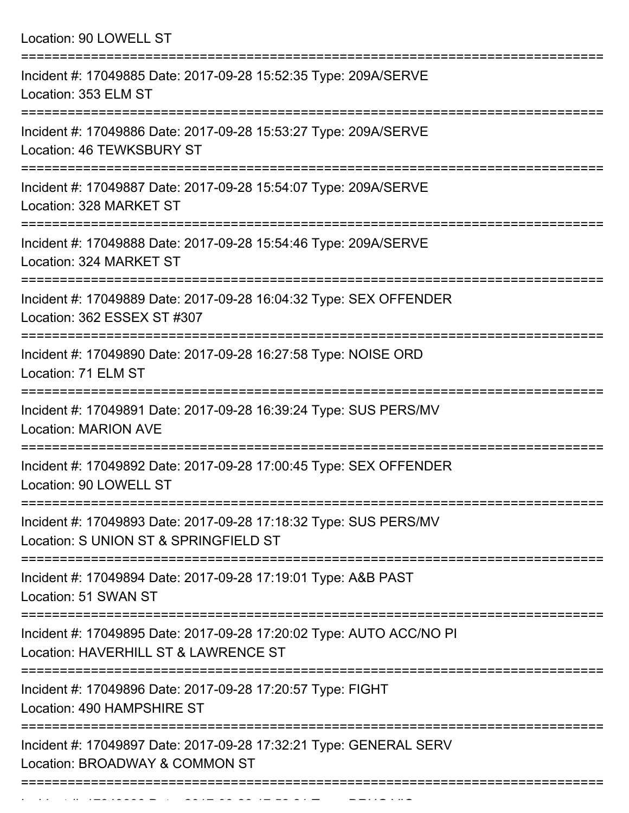| Location: 90 LOWELL ST                                                                                          |
|-----------------------------------------------------------------------------------------------------------------|
| Incident #: 17049885 Date: 2017-09-28 15:52:35 Type: 209A/SERVE<br>Location: 353 ELM ST<br>==================== |
| Incident #: 17049886 Date: 2017-09-28 15:53:27 Type: 209A/SERVE<br>Location: 46 TEWKSBURY ST                    |
| Incident #: 17049887 Date: 2017-09-28 15:54:07 Type: 209A/SERVE<br>Location: 328 MARKET ST                      |
| Incident #: 17049888 Date: 2017-09-28 15:54:46 Type: 209A/SERVE<br>Location: 324 MARKET ST                      |
| Incident #: 17049889 Date: 2017-09-28 16:04:32 Type: SEX OFFENDER<br>Location: 362 ESSEX ST #307                |
| Incident #: 17049890 Date: 2017-09-28 16:27:58 Type: NOISE ORD<br>Location: 71 ELM ST                           |
| Incident #: 17049891 Date: 2017-09-28 16:39:24 Type: SUS PERS/MV<br><b>Location: MARION AVE</b>                 |
| Incident #: 17049892 Date: 2017-09-28 17:00:45 Type: SEX OFFENDER<br>Location: 90 LOWELL ST                     |
| Incident #: 17049893 Date: 2017-09-28 17:18:32 Type: SUS PERS/MV<br>Location: S UNION ST & SPRINGFIELD ST       |
| Incident #: 17049894 Date: 2017-09-28 17:19:01 Type: A&B PAST<br>Location: 51 SWAN ST                           |
| Incident #: 17049895 Date: 2017-09-28 17:20:02 Type: AUTO ACC/NO PI<br>Location: HAVERHILL ST & LAWRENCE ST     |
| Incident #: 17049896 Date: 2017-09-28 17:20:57 Type: FIGHT<br>Location: 490 HAMPSHIRE ST                        |
| Incident #: 17049897 Date: 2017-09-28 17:32:21 Type: GENERAL SERV<br>Location: BROADWAY & COMMON ST             |

Incident #: 17049898 Date: 2017 09 28 17:52:21 Type: DRUG VIO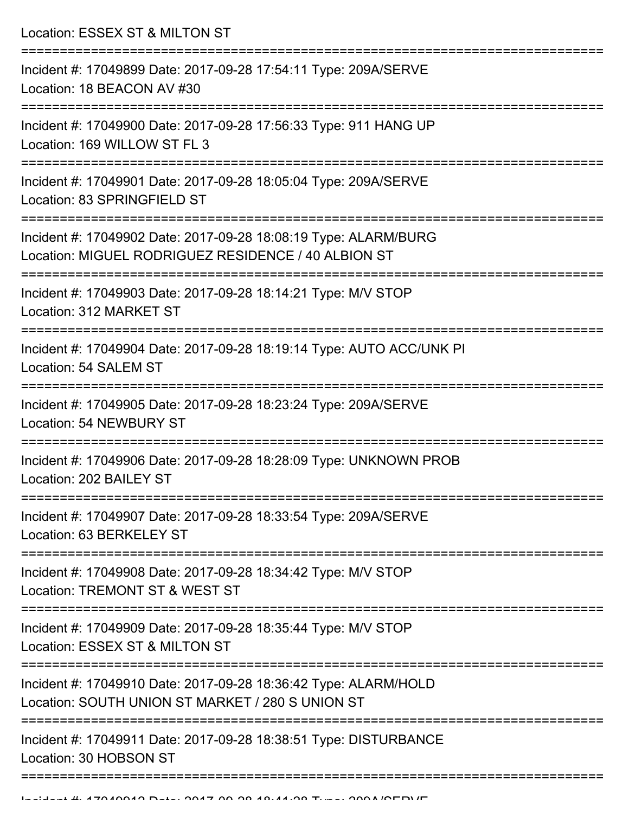Location: ESSEX ST & MILTON ST =========================================================================== Incident #: 17049899 Date: 2017-09-28 17:54:11 Type: 209A/SERVE Location: 18 BEACON AV #30 =========================================================================== Incident #: 17049900 Date: 2017-09-28 17:56:33 Type: 911 HANG UP Location: 169 WILLOW ST FL 3 =========================================================================== Incident #: 17049901 Date: 2017-09-28 18:05:04 Type: 209A/SERVE Location: 83 SPRINGFIELD ST =========================================================================== Incident #: 17049902 Date: 2017-09-28 18:08:19 Type: ALARM/BURG Location: MIGUEL RODRIGUEZ RESIDENCE / 40 ALBION ST =========================================================================== Incident #: 17049903 Date: 2017-09-28 18:14:21 Type: M/V STOP Location: 312 MARKET ST =========================================================================== Incident #: 17049904 Date: 2017-09-28 18:19:14 Type: AUTO ACC/UNK PI Location: 54 SALEM ST =========================================================================== Incident #: 17049905 Date: 2017-09-28 18:23:24 Type: 209A/SERVE Location: 54 NEWBURY ST =========================================================================== Incident #: 17049906 Date: 2017-09-28 18:28:09 Type: UNKNOWN PROB Location: 202 BAILEY ST =========================================================================== Incident #: 17049907 Date: 2017-09-28 18:33:54 Type: 209A/SERVE Location: 63 BERKELEY ST =========================================================================== Incident #: 17049908 Date: 2017-09-28 18:34:42 Type: M/V STOP Location: TREMONT ST & WEST ST =========================================================================== Incident #: 17049909 Date: 2017-09-28 18:35:44 Type: M/V STOP Location: ESSEX ST & MILTON ST =========================================================================== Incident #: 17049910 Date: 2017-09-28 18:36:42 Type: ALARM/HOLD Location: SOUTH UNION ST MARKET / 280 S UNION ST =========================================================================== Incident #: 17049911 Date: 2017-09-28 18:38:51 Type: DISTURBANCE Location: 30 HOBSON ST ===========================================================================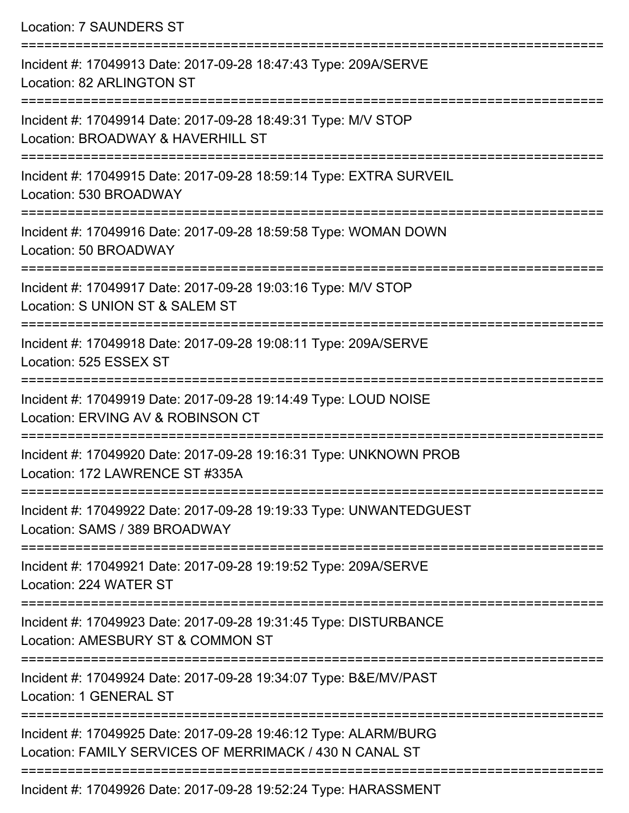Location: 7 SAUNDERS ST

=========================================================================== Incident #: 17049913 Date: 2017-09-28 18:47:43 Type: 209A/SERVE Location: 82 ARLINGTON ST =========================================================================== Incident #: 17049914 Date: 2017-09-28 18:49:31 Type: M/V STOP Location: BROADWAY & HAVERHILL ST =========================================================================== Incident #: 17049915 Date: 2017-09-28 18:59:14 Type: EXTRA SURVEIL Location: 530 BROADWAY =========================================================================== Incident #: 17049916 Date: 2017-09-28 18:59:58 Type: WOMAN DOWN Location: 50 BROADWAY =========================================================================== Incident #: 17049917 Date: 2017-09-28 19:03:16 Type: M/V STOP Location: S UNION ST & SALEM ST =========================================================================== Incident #: 17049918 Date: 2017-09-28 19:08:11 Type: 209A/SERVE Location: 525 ESSEX ST =========================================================================== Incident #: 17049919 Date: 2017-09-28 19:14:49 Type: LOUD NOISE Location: ERVING AV & ROBINSON CT =========================================================================== Incident #: 17049920 Date: 2017-09-28 19:16:31 Type: UNKNOWN PROB Location: 172 LAWRENCE ST #335A =========================================================================== Incident #: 17049922 Date: 2017-09-28 19:19:33 Type: UNWANTEDGUEST Location: SAMS / 389 BROADWAY =========================================================================== Incident #: 17049921 Date: 2017-09-28 19:19:52 Type: 209A/SERVE Location: 224 WATER ST =========================================================================== Incident #: 17049923 Date: 2017-09-28 19:31:45 Type: DISTURBANCE Location: AMESBURY ST & COMMON ST =========================================================================== Incident #: 17049924 Date: 2017-09-28 19:34:07 Type: B&E/MV/PAST Location: 1 GENERAL ST =========================================================================== Incident #: 17049925 Date: 2017-09-28 19:46:12 Type: ALARM/BURG Location: FAMILY SERVICES OF MERRIMACK / 430 N CANAL ST =========================================================================== Incident #: 17049926 Date: 2017-09-28 19:52:24 Type: HARASSMENT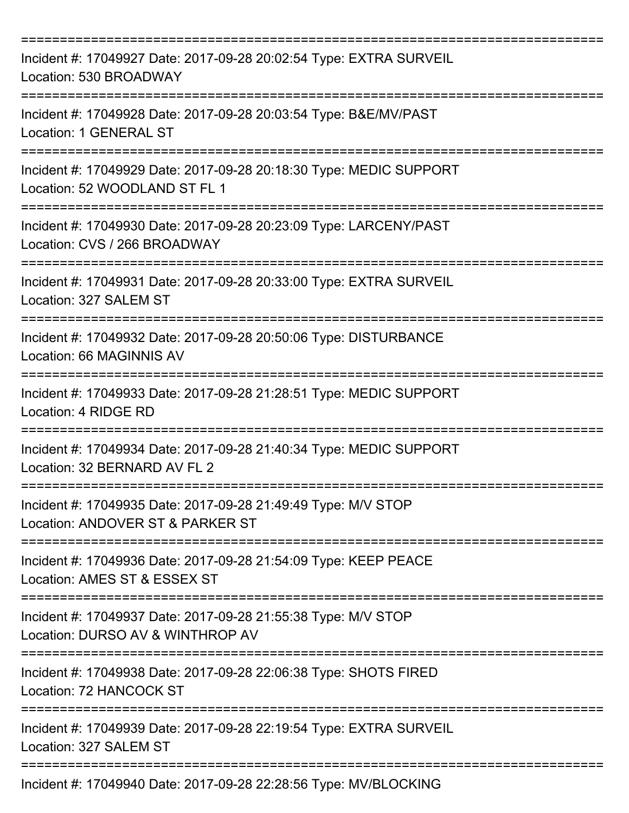| Incident #: 17049927 Date: 2017-09-28 20:02:54 Type: EXTRA SURVEIL<br>Location: 530 BROADWAY                     |
|------------------------------------------------------------------------------------------------------------------|
| Incident #: 17049928 Date: 2017-09-28 20:03:54 Type: B&E/MV/PAST<br>Location: 1 GENERAL ST                       |
| Incident #: 17049929 Date: 2017-09-28 20:18:30 Type: MEDIC SUPPORT<br>Location: 52 WOODLAND ST FL 1<br>--------- |
| Incident #: 17049930 Date: 2017-09-28 20:23:09 Type: LARCENY/PAST<br>Location: CVS / 266 BROADWAY                |
| ==============<br>Incident #: 17049931 Date: 2017-09-28 20:33:00 Type: EXTRA SURVEIL<br>Location: 327 SALEM ST   |
| Incident #: 17049932 Date: 2017-09-28 20:50:06 Type: DISTURBANCE<br>Location: 66 MAGINNIS AV                     |
| Incident #: 17049933 Date: 2017-09-28 21:28:51 Type: MEDIC SUPPORT<br>Location: 4 RIDGE RD                       |
| Incident #: 17049934 Date: 2017-09-28 21:40:34 Type: MEDIC SUPPORT<br>Location: 32 BERNARD AV FL 2               |
| Incident #: 17049935 Date: 2017-09-28 21:49:49 Type: M/V STOP<br>Location: ANDOVER ST & PARKER ST                |
| Incident #: 17049936 Date: 2017-09-28 21:54:09 Type: KEEP PEACE<br>Location: AMES ST & ESSEX ST                  |
| Incident #: 17049937 Date: 2017-09-28 21:55:38 Type: M/V STOP<br>Location: DURSO AV & WINTHROP AV                |
| Incident #: 17049938 Date: 2017-09-28 22:06:38 Type: SHOTS FIRED<br>Location: 72 HANCOCK ST                      |
| Incident #: 17049939 Date: 2017-09-28 22:19:54 Type: EXTRA SURVEIL<br>Location: 327 SALEM ST                     |
| Incident #: 17049940 Date: 2017-09-28 22:28:56 Type: MV/BLOCKING                                                 |